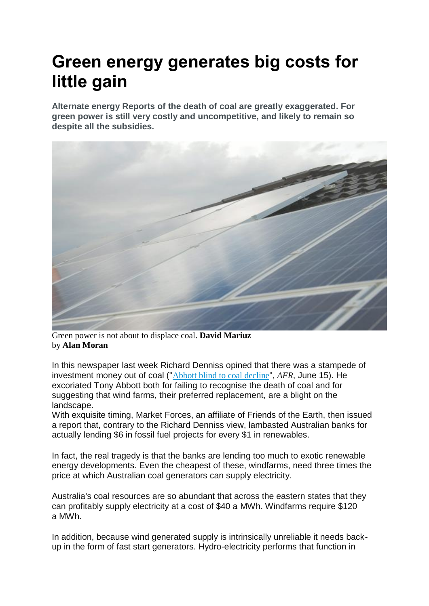## **Green energy generates big costs for little gain**

**Alternate energy Reports of the death of coal are greatly exaggerated. For green power is still very costly and uncompetitive, and likely to remain so despite all the subsidies.**



Green power is not about to displace coal. **David Mariuz** by **Alan Moran**

In this newspaper last week Richard Denniss opined that there was a stampede of investment money out of coal ("Abbott blind to coal [decline](http://www.afr.com/opinion/columns/abbott-blind-to-coals-decline-20150615-gho0cu)", *AFR*, June 15). He excoriated Tony Abbott both for failing to recognise the death of coal and for suggesting that wind farms, their preferred replacement, are a blight on the landscape.

With exquisite timing, Market Forces, an affiliate of Friends of the Earth, then issued a report that, contrary to the Richard Denniss view, lambasted Australian banks for actually lending \$6 in fossil fuel projects for every \$1 in renewables.

In fact, the real tragedy is that the banks are lending too much to exotic renewable energy developments. Even the cheapest of these, windfarms, need three times the price at which Australian coal generators can supply electricity.

Australia's coal resources are so abundant that across the eastern states that they can profitably supply electricity at a cost of \$40 a MWh. Windfarms require \$120 a MWh.

In addition, because wind generated supply is intrinsically unreliable it needs backup in the form of fast start generators. Hydro-electricity performs that function in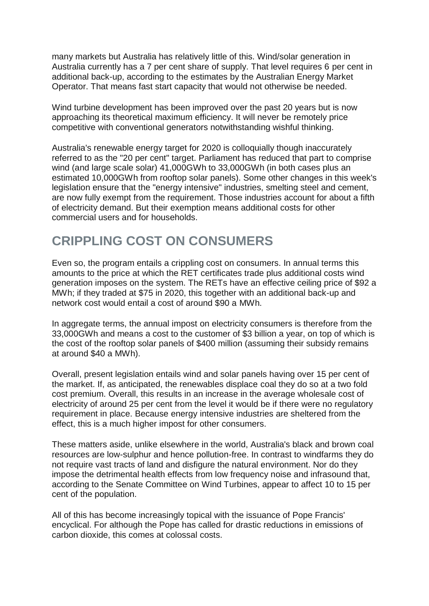many markets but Australia has relatively little of this. Wind/solar generation in Australia currently has a 7 per cent share of supply. That level requires 6 per cent in additional back-up, according to the estimates by the Australian Energy Market Operator. That means fast start capacity that would not otherwise be needed.

Wind turbine development has been improved over the past 20 years but is now approaching its theoretical maximum efficiency. It will never be remotely price competitive with conventional generators notwithstanding wishful thinking.

Australia's renewable energy target for 2020 is colloquially though inaccurately referred to as the "20 per cent" target. Parliament has reduced that part to comprise wind (and large scale solar) 41,000GWh to 33,000GWh (in both cases plus an estimated 10,000GWh from rooftop solar panels). Some other changes in this week's legislation ensure that the "energy intensive" industries, smelting steel and cement, are now fully exempt from the requirement. Those industries account for about a fifth of electricity demand. But their exemption means additional costs for other commercial users and for households.

## **CRIPPLING COST ON CONSUMERS**

Even so, the program entails a crippling cost on consumers. In annual terms this amounts to the price at which the RET certificates trade plus additional costs wind generation imposes on the system. The RETs have an effective ceiling price of \$92 a MWh; if they traded at \$75 in 2020, this together with an additional back-up and network cost would entail a cost of around \$90 a MWh.

In aggregate terms, the annual impost on electricity consumers is therefore from the 33,000GWh and means a cost to the customer of \$3 billion a year, on top of which is the cost of the rooftop solar panels of \$400 million (assuming their subsidy remains at around \$40 a MWh).

Overall, present legislation entails wind and solar panels having over 15 per cent of the market. If, as anticipated, the renewables displace coal they do so at a two fold cost premium. Overall, this results in an increase in the average wholesale cost of electricity of around 25 per cent from the level it would be if there were no regulatory requirement in place. Because energy intensive industries are sheltered from the effect, this is a much higher impost for other consumers.

These matters aside, unlike elsewhere in the world, Australia's black and brown coal resources are low-sulphur and hence pollution-free. In contrast to windfarms they do not require vast tracts of land and disfigure the natural environment. Nor do they impose the detrimental health effects from low frequency noise and infrasound that, according to the Senate Committee on Wind Turbines, appear to affect 10 to 15 per cent of the population.

All of this has become increasingly topical with the issuance of Pope Francis' encyclical. For although the Pope has called for drastic reductions in emissions of carbon dioxide, this comes at colossal costs.